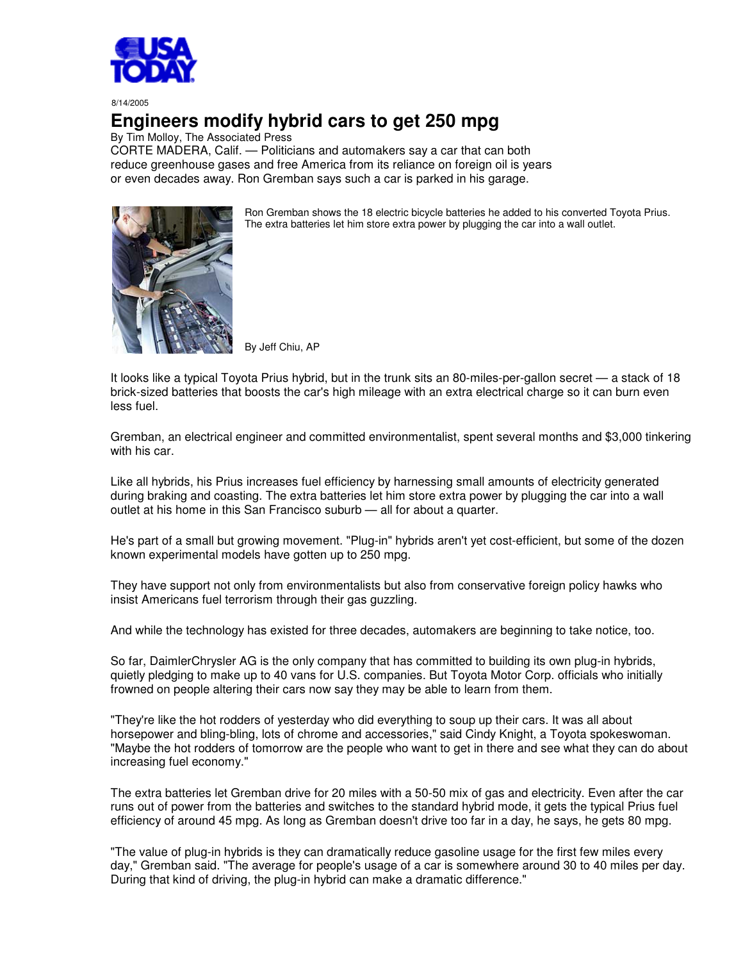

8/14/2005

## **Engineers modify hybrid cars to get 250 mpg**

By Tim Molloy, The Associated Press

CORTE MADERA, Calif. — Politicians and automakers say a car that can both reduce greenhouse gases and free America from its reliance on foreign oil is years or even decades away. Ron Gremban says such a car is parked in his garage.



Ron Gremban shows the 18 electric bicycle batteries he added to his converted Toyota Prius. The extra batteries let him store extra power by plugging the car into a wall outlet.

By Jeff Chiu, AP

It looks like a typical Toyota Prius hybrid, but in the trunk sits an 80-miles-per-gallon secret — a stack of 18 brick-sized batteries that boosts the car's high mileage with an extra electrical charge so it can burn even less fuel.

Gremban, an electrical engineer and committed environmentalist, spent several months and \$3,000 tinkering with his car.

Like all hybrids, his Prius increases fuel efficiency by harnessing small amounts of electricity generated during braking and coasting. The extra batteries let him store extra power by plugging the car into a wall outlet at his home in this San Francisco suburb — all for about a quarter.

He's part of a small but growing movement. "Plug-in" hybrids aren't yet cost-efficient, but some of the dozen known experimental models have gotten up to 250 mpg.

They have support not only from environmentalists but also from conservative foreign policy hawks who insist Americans fuel terrorism through their gas guzzling.

And while the technology has existed for three decades, automakers are beginning to take notice, too.

So far, DaimlerChrysler AG is the only company that has committed to building its own plug-in hybrids, quietly pledging to make up to 40 vans for U.S. companies. But Toyota Motor Corp. officials who initially frowned on people altering their cars now say they may be able to learn from them.

"They're like the hot rodders of yesterday who did everything to soup up their cars. It was all about horsepower and bling-bling, lots of chrome and accessories," said Cindy Knight, a Toyota spokeswoman. "Maybe the hot rodders of tomorrow are the people who want to get in there and see what they can do about increasing fuel economy."

The extra batteries let Gremban drive for 20 miles with a 50-50 mix of gas and electricity. Even after the car runs out of power from the batteries and switches to the standard hybrid mode, it gets the typical Prius fuel efficiency of around 45 mpg. As long as Gremban doesn't drive too far in a day, he says, he gets 80 mpg.

"The value of plug-in hybrids is they can dramatically reduce gasoline usage for the first few miles every day," Gremban said. "The average for people's usage of a car is somewhere around 30 to 40 miles per day. During that kind of driving, the plug-in hybrid can make a dramatic difference."